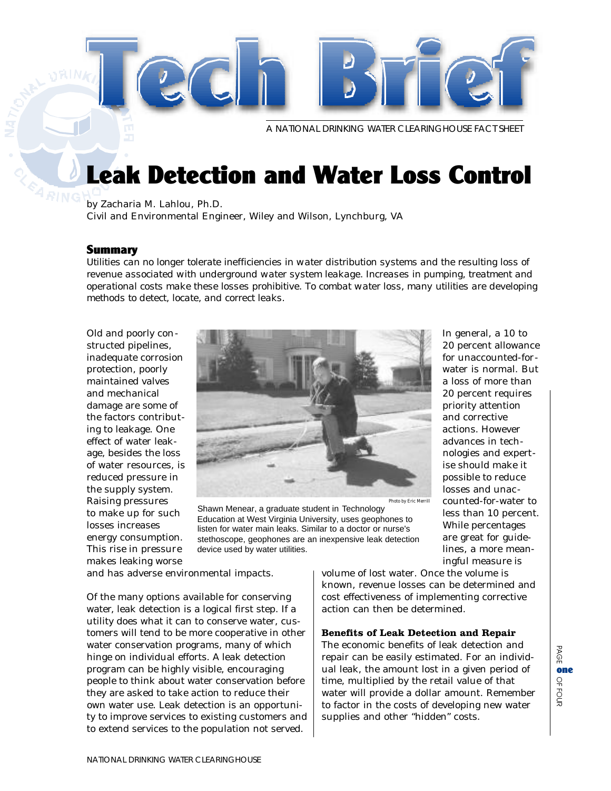A NATIONAL DRINKING WATER CLEARINGHOUSE FACT SHEET

# Leak Detection and Water Loss Control

by Zacharia M. Lahlou, Ph.D.

Civil and Environmental Engineer, Wiley and Wilson, Lynchburg, VA

### Summary

*Utilities can no longer tolerate inefficiencies in water distribution systems and the resulting loss of revenue associated with underground water system leakage. Increases in pumping, treatment and operational costs make these losses prohibitive. To combat water loss, many utilities are developing methods to detect, locate, and correct leaks.*

Old and poorly constructed pipelines, inadequate corrosion protection, poorly maintained valves and mechanical damage are some of the factors contributing to leakage. One effect of water leakage, besides the loss of water resources, is reduced pressure in the supply system. Raising pressures to make up for such losses increases energy consumption. This rise in pressure makes leaking worse



Shawn Menear, a graduate student in Technology Education at West Virginia University, uses geophones to listen for water main leaks. Similar to a doctor or nurse's stethoscope, geophones are an inexpensive leak detection device used by water utilities.

In general, a 10 to 20 percent allowance for unaccounted-forwater is normal. But a loss of more than 20 percent requires priority attention and corrective actions. However advances in technologies and expertise should make it possible to reduce losses and unaccounted-for-water to less than 10 percent. While percentages are great for guidelines, a more meaningful measure is

and has adverse environmental impacts.

Of the many options available for conserving water, leak detection is a logical first step. If a utility does what it can to conserve water, customers will tend to be more cooperative in other water conservation programs, many of which hinge on individual efforts. A leak detection p rogram can be highly visible, encouraging people to think about water conservation before they are asked to take action to reduce their own water use. Leak detection is an opportunity to improve services to existing customers and to extend services to the population not served.

volume of lost water. Once the volume is known, revenue losses can be determined and cost effectiveness of implementing corrective action can then be determined.

### **Benefits of Leak Detection and Repair**

The economic benefits of leak detection and repair can be easily estimated. For an individual leak, the amount lost in a given period of time, multiplied by the retail value of that water will provide a dollar amount. Remember to factor in the costs of developing new water supplies and other "hidden" costs.

**PAGE** one<br> $Q_{\text{B}}$ <br> $Q_{\text{B}}$ <br> $Q_{\text{B}}$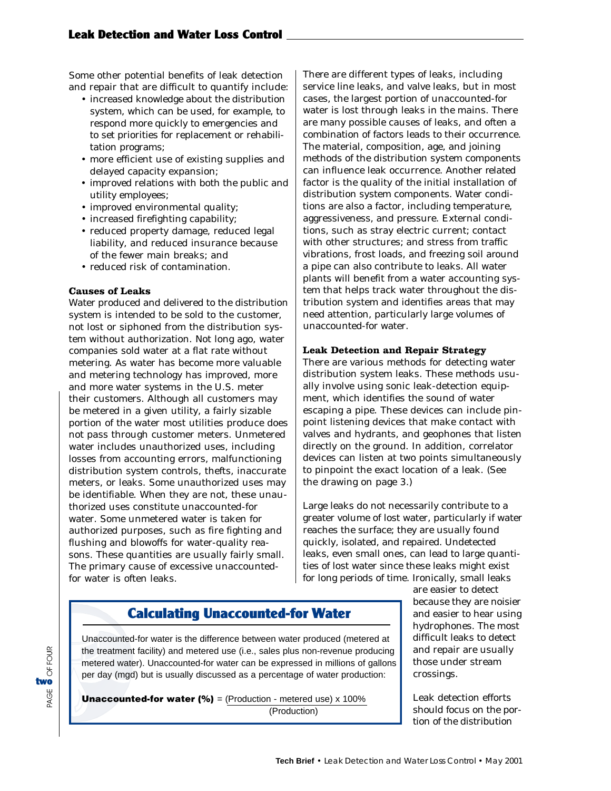Some other potential benefits of leak detection and repair that are difficult to quantify include:

- increased knowledge about the distribution system, which can be used, for example, to respond more quickly to emergencies and to set priorities for replacement or rehabilitation programs;
- more efficient use of existing supplies and delayed capacity expansion;
- improved relations with both the public and utility employees;
- improved environmental quality;
- increased firefighting capability;
- reduced property damage, reduced legal liability, and reduced insurance because of the fewer main breaks; and
- reduced risk of contamination.

### **Causes of Leaks**

Water produced and delivered to the distribution system is intended to be sold to the customer, not lost or siphoned from the distribution system without authorization. Not long ago, water companies sold water at a flat rate without metering. As water has become more valuable and metering technology has improved, more and more water systems in the U.S. meter their customers. Although all customers may be metered in a given utility, a fairly sizable portion of the water most utilities produce does not pass through customer meters. Unmetered water includes unauthorized uses, including losses from accounting errors, malfunctioning distribution system controls, thefts, inaccurate meters, or leaks. Some unauthorized uses may be identifiable. When they are not, these unauthorized uses constitute unaccounted-for water. Some unmetered water is taken for authorized purposes, such as fire fighting and flushing and blowoffs for water-quality reasons. These quantities are usually fairly small. The primary cause of excessive unaccountedfor water is often leaks.

There are different types of leaks, including service line leaks, and valve leaks, but in most cases, the largest portion of unaccounted-for water is lost through leaks in the mains. There are many possible causes of leaks, and often a combination of factors leads to their occurrence. The material, composition, age, and joining methods of the distribution system components can influence leak occurrence. Another related factor is the quality of the initial installation of distribution system components. Water conditions are also a factor, including temperature, aggressiveness, and pressure. External conditions, such as stray electric current; contact with other structures; and stress from traffic vibrations, frost loads, and freezing soil around a pipe can also contribute to leaks. All water plants will benefit from a water accounting system that helps track water throughout the distribution system and identifies areas that may need attention, particularly large volumes of unaccounted-for water.

### **Leak Detection and Repair Strategy**

There are various methods for detecting water distribution system leaks. These methods usually involve using sonic leak-detection equipment, which identifies the sound of water escaping a pipe. These devices can include pinpoint listening devices that make contact with valves and hydrants, and geophones that listen directly on the ground. In addition, correlator devices can listen at two points simultaneously to pinpoint the exact location of a leak. (See the drawing on page 3.)

Large leaks do not necessarily contribute to a greater volume of lost water, particularly if water reaches the surface; they are usually found quickly, isolated, and repaired. Undetected leaks, even small ones, can lead to large quantities of lost water since these leaks might exist for long periods of time. Ironically, small leaks

## Calculating Unaccounted-for Water

Unaccounted-for water is the difference between water produced (metered at the treatment facility) and metered use (i.e., sales plus non-revenue producing metered water). Unaccounted-for water can be expressed in millions of gallons per day (mgd) but is usually discussed as a percentage of water production:

**Unaccounted-for water (%)** = (Production - metered use)  $\times$  100% (Production)

are easier to detect because they are noisier and easier to hear using hydrophones. The most difficult leaks to detect and repair are usually those under stream crossings.

Leak detection efforts should focus on the portion of the distribution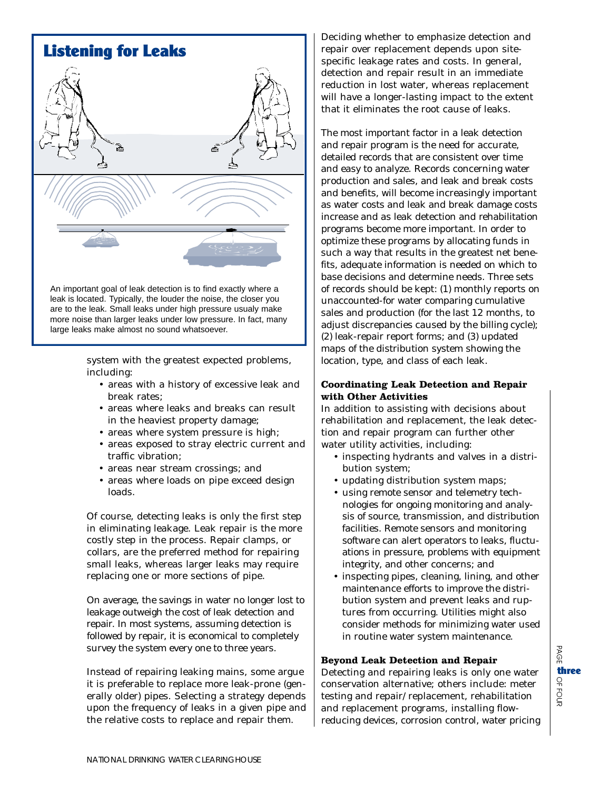

An important goal of leak detection is to find exactly where a leak is located. Typically, the louder the noise, the closer you are to the leak. Small leaks under high pressure usualy make more noise than larger leaks under low pressure. In fact, many large leaks make almost no sound whatsoever.

> system with the greatest expected problems, including:

- areas with a history of excessive leak and break rates;
- areas where leaks and breaks can result in the heaviest property damage;
- areas where system pressure is high;
- areas exposed to stray electric current and traffic vibration;
- areas near stream crossings; and
- areas where loads on pipe exceed design loads.

Of course, detecting leaks is only the first step in eliminating leakage. Leak repair is the more costly step in the process. Repair clamps, or collars, are the preferred method for repairing small leaks, whereas larger leaks may require replacing one or more sections of pipe.

On average, the savings in water no longer lost to leakage outweigh the cost of leak detection and repair. In most systems, assuming detection is followed by repair, it is economical to completely survey the system every one to three years.

Instead of repairing leaking mains, some argue it is preferable to replace more leak-prone (generally older) pipes. Selecting a strategy depends upon the frequency of leaks in a given pipe and the relative costs to replace and repair them.

Deciding whether to emphasize detection and repair over replacement depends upon sitespecific leakage rates and costs. In general, detection and repair result in an immediate reduction in lost water, whereas replacement will have a longer-lasting impact to the extent that it eliminates the root cause of leaks.

The most important factor in a leak detection and repair program is the need for accurate, detailed records that are consistent over time and easy to analyze. Records concerning water p roduction and sales, and leak and break costs and benefits, will become increasingly important as water costs and leak and break damage costs increase and as leak detection and rehabilitation p rograms become more important. In order to optimize these programs by allocating funds in such a way that results in the greatest net benefits, adequate information is needed on which to base decisions and determine needs. Three sets of records should be kept: (1) monthly reports on unaccounted-for water comparing cumulative sales and production (for the last 12 months, to adjust discrepancies caused by the billing cycle); (2) leak-repair report forms; and (3) updated maps of the distribution system showing the location, type, and class of each leak.

### **Coordinating Leak Detection and Repair with Other Activities**

In addition to assisting with decisions about rehabilitation and replacement, the leak detection and repair program can further other water utility activities, including:

- inspecting hydrants and valves in a distribution system;
- updating distribution system maps;
- using remote sensor and telemetry technologies for ongoing monitoring and analysis of source, transmission, and distribution facilities. Remote sensors and monitoring software can alert operators to leaks, fluctuations in pressure, problems with equipment integrity, and other concerns; and
- inspecting pipes, cleaning, lining, and other maintenance efforts to improve the distribution system and prevent leaks and ruptures from occurring. Utilities might also consider methods for minimizing water used in routine water system maintenance.

### **Beyond Leak Detection and Repair**

Detecting and repairing leaks is only one water conservation alternative; others include: meter testing and repair/replacement, rehabilitation and replacement programs, installing flowreducing devices, corrosion control, water pricing